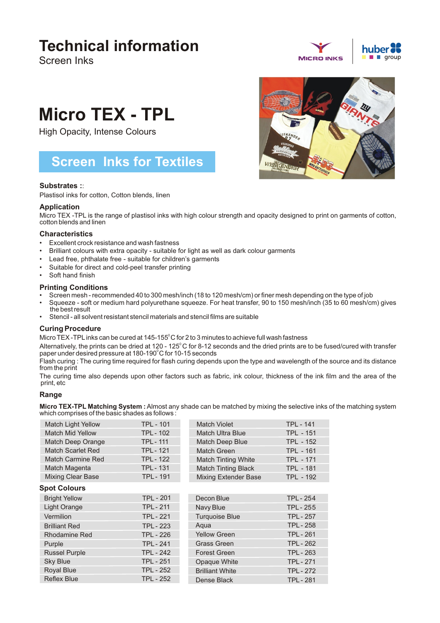# **Technical information**

Screen Inks



# **Micro TEX - TPL**

High Opacity, Intense Colours

# **Screen Inks for Textiles**

# **Substrates :**:

Plastisol inks for cotton, Cotton blends, linen

# **Application**

Micro TEX -TPL is the range of plastisol inks with high colour strength and opacity designed to print on garments of cotton, cotton blends and linen

## **Characteristics**

- Excellent crock resistance and wash fastness
- Brilliant colours with extra opacity suitable for light as well as dark colour garments
- Lead free, phthalate free suitable for children's garments
- Suitable for direct and cold-peel transfer printing
- Soft hand finish

## **Printing Conditions**

- Screen mesh recommended 40 to 300 mesh/inch (18 to 120 mesh/cm) or finer mesh depending on the type of job
- Squeeze soft or medium hard polyurethane squeeze. For heat transfer, 90 to 150 mesh/inch (35 to 60 mesh/cm) gives the best result
- Stencil all solvent resistant stencil materials and stencil films are suitable

# **Curing Procedure**

Micro TEX-TPL inks can be cured at  $145-155^{\circ}$ C for 2 to 3 minutes to achieve full wash fastness

Alternatively, the prints can be dried at 120 - 125 $^{\circ}$ C for 8-12 seconds and the dried prints are to be fused/cured with transfer paper under desired pressure at 180-190°C for 10-15 seconds

Flash curing : The curing time required for flash curing depends upon the type and wavelength of the source and its distance from the print

The curing time also depends upon other factors such as fabric, ink colour, thickness of the ink film and the area of the print, etc

# **Range**

**Micro TEX-TPL Matching System :**Almost any shade can be matched by mixing the selective inks of the matching system which comprises of the basic shades as follows :

| Match Light Yellow       | <b>TPL - 101</b> | Match Violet                | <b>TPL - 141</b> |
|--------------------------|------------------|-----------------------------|------------------|
| <b>Match Mid Yellow</b>  | <b>TPL-102</b>   | <b>Match Ultra Blue</b>     | <b>TPL - 151</b> |
| Match Deep Orange        | <b>TPL-111</b>   | <b>Match Deep Blue</b>      | <b>TPL - 152</b> |
| <b>Match Scarlet Red</b> | <b>TPL - 121</b> | <b>Match Green</b>          | <b>TPL - 161</b> |
| Match Carmine Red        | <b>TPL - 122</b> | <b>Match Tinting White</b>  | <b>TPL - 171</b> |
| Match Magenta            | <b>TPL-131</b>   | <b>Match Tinting Black</b>  | <b>TPL - 181</b> |
| <b>Mixing Clear Base</b> | <b>TPL-191</b>   | <b>Mixing Extender Base</b> | <b>TPL - 192</b> |
| <b>Spot Colours</b>      |                  |                             |                  |
| <b>Bright Yellow</b>     | <b>TPL - 201</b> | Decon Blue                  | <b>TPL - 254</b> |
| Light Orange             | <b>TPL - 211</b> | Navy Blue                   | <b>TPL - 255</b> |
| Vermilion                | <b>TPL - 221</b> | <b>Turquoise Blue</b>       | <b>TPL - 257</b> |
| <b>Brilliant Red</b>     | <b>TPL - 223</b> | Agua                        | <b>TPL-258</b>   |
| <b>Rhodamine Red</b>     | <b>TPL - 226</b> | <b>Yellow Green</b>         | <b>TPL-261</b>   |
| Purple                   | <b>TPL - 241</b> | <b>Grass Green</b>          | <b>TPL-262</b>   |
| <b>Russel Purple</b>     | <b>TPL - 242</b> | <b>Forest Green</b>         | <b>TPL - 263</b> |
| <b>Sky Blue</b>          | <b>TPL - 251</b> | Opaque White                | <b>TPL-271</b>   |
| <b>Royal Blue</b>        | <b>TPL - 252</b> | <b>Brilliant White</b>      | <b>TPL-272</b>   |
| <b>Reflex Blue</b>       | <b>TPL - 252</b> | Dense Black                 | <b>TPL-281</b>   |
|                          |                  |                             |                  |